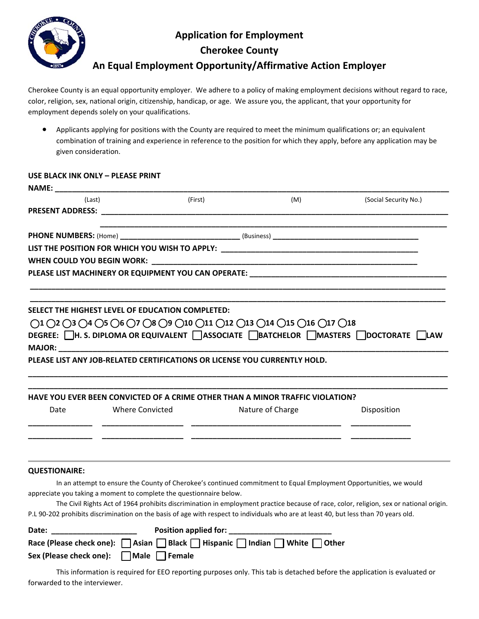

## **Application for Employment**

**Cherokee County** 

### **An Equal Employment Opportunity/Affirmative Action Employer**

Cherokee County is an equal opportunity employer. We adhere to a policy of making employment decisions without regard to race, color, religion, sex, national origin, citizenship, handicap, or age. We assure you, the applicant, that your opportunity for employment depends solely on your qualifications.

 Applicants applying for positions with the County are required to meet the minimum qualifications or; an equivalent combination of training and experience in reference to the position for which they apply, before any application may be given consideration.

#### **USE BLACK INK ONLY – PLEASE PRINT**

| NAME: NAME                                                                                                                                                    |                                                                           |                                       |                                                                               |                                                                                                                                        |  |  |  |  |
|---------------------------------------------------------------------------------------------------------------------------------------------------------------|---------------------------------------------------------------------------|---------------------------------------|-------------------------------------------------------------------------------|----------------------------------------------------------------------------------------------------------------------------------------|--|--|--|--|
| (Last)                                                                                                                                                        |                                                                           | (First)                               | (M)                                                                           | (Social Security No.)                                                                                                                  |  |  |  |  |
|                                                                                                                                                               |                                                                           |                                       |                                                                               |                                                                                                                                        |  |  |  |  |
|                                                                                                                                                               |                                                                           |                                       |                                                                               |                                                                                                                                        |  |  |  |  |
|                                                                                                                                                               |                                                                           |                                       |                                                                               |                                                                                                                                        |  |  |  |  |
|                                                                                                                                                               |                                                                           |                                       |                                                                               |                                                                                                                                        |  |  |  |  |
|                                                                                                                                                               |                                                                           |                                       |                                                                               |                                                                                                                                        |  |  |  |  |
| PLEASE LIST MACHINERY OR EQUIPMENT YOU CAN OPERATE: _____________________________                                                                             |                                                                           |                                       |                                                                               |                                                                                                                                        |  |  |  |  |
|                                                                                                                                                               |                                                                           |                                       |                                                                               |                                                                                                                                        |  |  |  |  |
|                                                                                                                                                               | SELECT THE HIGHEST LEVEL OF EDUCATION COMPLETED:                          |                                       |                                                                               |                                                                                                                                        |  |  |  |  |
|                                                                                                                                                               |                                                                           |                                       |                                                                               |                                                                                                                                        |  |  |  |  |
| $()1()2()3()4()5()6()7()8()9()10()11()12()13()14()15()16()17()18$<br>DEGREE: □H. S. DIPLOMA OR EQUIVALENT □ ASSOCIATE □ BATCHELOR □ MASTERS □ DOCTORATE □ LAW |                                                                           |                                       |                                                                               |                                                                                                                                        |  |  |  |  |
|                                                                                                                                                               |                                                                           |                                       |                                                                               |                                                                                                                                        |  |  |  |  |
|                                                                                                                                                               | PLEASE LIST ANY JOB-RELATED CERTIFICATIONS OR LICENSE YOU CURRENTLY HOLD. |                                       |                                                                               |                                                                                                                                        |  |  |  |  |
|                                                                                                                                                               |                                                                           |                                       |                                                                               |                                                                                                                                        |  |  |  |  |
|                                                                                                                                                               |                                                                           |                                       |                                                                               |                                                                                                                                        |  |  |  |  |
|                                                                                                                                                               |                                                                           |                                       | HAVE YOU EVER BEEN CONVICTED OF A CRIME OTHER THAN A MINOR TRAFFIC VIOLATION? |                                                                                                                                        |  |  |  |  |
| Date                                                                                                                                                          | Where Convicted                                                           |                                       | Nature of Charge                                                              | Disposition                                                                                                                            |  |  |  |  |
|                                                                                                                                                               |                                                                           |                                       |                                                                               |                                                                                                                                        |  |  |  |  |
|                                                                                                                                                               |                                                                           |                                       |                                                                               |                                                                                                                                        |  |  |  |  |
|                                                                                                                                                               |                                                                           |                                       |                                                                               |                                                                                                                                        |  |  |  |  |
|                                                                                                                                                               |                                                                           |                                       |                                                                               |                                                                                                                                        |  |  |  |  |
| <b>QUESTIONAIRE:</b>                                                                                                                                          |                                                                           |                                       |                                                                               |                                                                                                                                        |  |  |  |  |
|                                                                                                                                                               |                                                                           |                                       |                                                                               | In an attempt to ensure the County of Cherokee's continued commitment to Equal Employment Opportunities, we would                      |  |  |  |  |
|                                                                                                                                                               | appreciate you taking a moment to complete the questionnaire below.       |                                       |                                                                               |                                                                                                                                        |  |  |  |  |
|                                                                                                                                                               |                                                                           |                                       |                                                                               | The Civil Rights Act of 1964 prohibits discrimination in employment practice because of race, color, religion, sex or national origin. |  |  |  |  |
|                                                                                                                                                               |                                                                           |                                       |                                                                               | P.L 90-202 prohibits discrimination on the basis of age with respect to individuals who are at least 40, but less than 70 years old.   |  |  |  |  |
| Date: the control of the control of the control of the control of the control of the control of the control of                                                |                                                                           | Position applied for: _______________ |                                                                               |                                                                                                                                        |  |  |  |  |
|                                                                                                                                                               |                                                                           |                                       | Race (Please check one):   Asian   Black   Hispanic   Indian   White   Other  |                                                                                                                                        |  |  |  |  |
| Sex (Please check one):                                                                                                                                       | Male Female                                                               |                                       |                                                                               |                                                                                                                                        |  |  |  |  |

This information is required for EEO reporting purposes only. This tab is detached before the application is evaluated or forwarded to the interviewer.